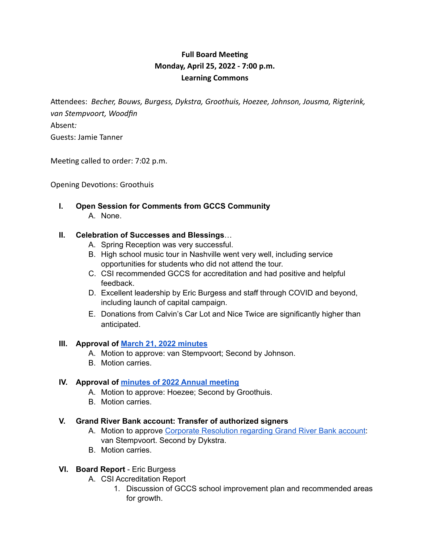# **Full Board Meeting Monday, April 25, 2022 - 7:00 p.m. Learning Commons**

Attendees: *Becher, Bouws, Burgess, Dykstra, Groothuis, Hoezee, Johnson, Jousma, Rigterink, van Stempvoort, Woodfin* Absent*:*  Guests: Jamie Tanner

Meeting called to order: 7:02 p.m.

Opening Devotions: Groothuis

**I. Open Session for Comments from GCCS Community** A. None.

#### **II. Celebration of Successes and Blessings**…

- A. Spring Reception was very successful.
- B. High school music tour in Nashville went very well, including service opportunities for students who did not attend the tour.
- C. CSI recommended GCCS for accreditation and had positive and helpful feedback.
- D. Excellent leadership by Eric Burgess and staff through COVID and beyond, including launch of capital campaign.
- E. Donations from Calvin's Car Lot and Nice Twice are significantly higher than anticipated.

#### **III. Approval of March 21, 2022 minutes**

- A. Motion to approve: van Stempvoort; Second by Johnson.
- B. Motion carries.

#### **IV. Approval of minutes of 2022 Annual meeting**

- A. Motion to approve: Hoezee; Second by Groothuis.
- B. Motion carries.

#### **V. Grand River Bank account: Transfer of authorized signers**

- A. Motion to approve Corporate Resolution regarding Grand River Bank account: van Stempvoort. Second by Dykstra.
- B. Motion carries.

#### **VI. Board Report** - Eric Burgess

- A. CSI Accreditation Report
	- 1. Discussion of GCCS school improvement plan and recommended areas for growth.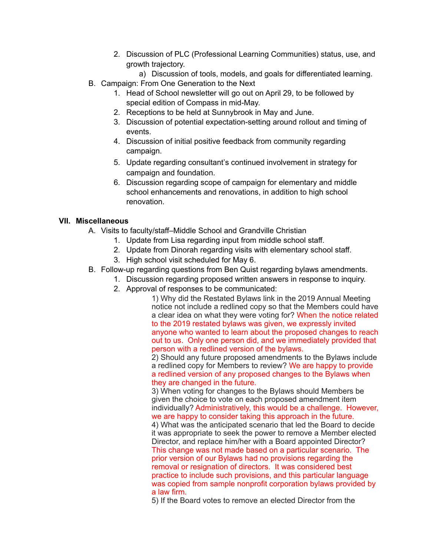- 2. Discussion of PLC (Professional Learning Communities) status, use, and growth trajectory.
	- a) Discussion of tools, models, and goals for differentiated learning.
- B. Campaign: From One Generation to the Next
	- 1. Head of School newsletter will go out on April 29, to be followed by special edition of Compass in mid-May.
	- 2. Receptions to be held at Sunnybrook in May and June.
	- 3. Discussion of potential expectation-setting around rollout and timing of events.
	- 4. Discussion of initial positive feedback from community regarding campaign.
	- 5. Update regarding consultant's continued involvement in strategy for campaign and foundation.
	- 6. Discussion regarding scope of campaign for elementary and middle school enhancements and renovations, in addition to high school renovation.

### **VII. Miscellaneous**

- A. Visits to faculty/staff–Middle School and Grandville Christian
	- 1. Update from Lisa regarding input from middle school staff.
	- 2. Update from Dinorah regarding visits with elementary school staff.
	- 3. High school visit scheduled for May 6.
- B. Follow-up regarding questions from Ben Quist regarding bylaws amendments.
	- 1. Discussion regarding proposed written answers in response to inquiry.
	- 2. Approval of responses to be communicated:

1) Why did the Restated Bylaws link in the 2019 Annual Meeting notice not include a redlined copy so that the Members could have a clear idea on what they were voting for? When the notice related to the 2019 restated bylaws was given, we expressly invited anyone who wanted to learn about the proposed changes to reach out to us. Only one person did, and we immediately provided that person with a redlined version of the bylaws.

2) Should any future proposed amendments to the Bylaws include a redlined copy for Members to review? We are happy to provide a redlined version of any proposed changes to the Bylaws when they are changed in the future.

3) When voting for changes to the Bylaws should Members be given the choice to vote on each proposed amendment item individually? Administratively, this would be a challenge. However, we are happy to consider taking this approach in the future.

4) What was the anticipated scenario that led the Board to decide it was appropriate to seek the power to remove a Member elected Director, and replace him/her with a Board appointed Director? This change was not made based on a particular scenario. The prior version of our Bylaws had no provisions regarding the removal or resignation of directors. It was considered best practice to include such provisions, and this particular language was copied from sample nonprofit corporation bylaws provided by a law firm.

5) If the Board votes to remove an elected Director from the